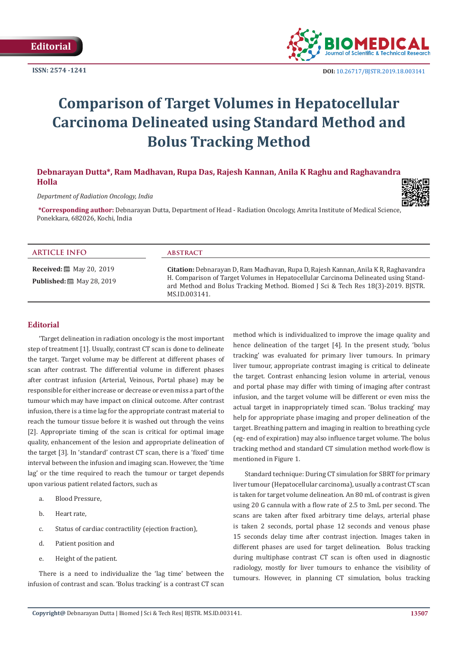**Editorial**



# **Comparison of Target Volumes in Hepatocellular Carcinoma Delineated using Standard Method and Bolus Tracking Method**

## **Debnarayan Dutta\*, Ram Madhavan, Rupa Das, Rajesh Kannan, Anila K Raghu and Raghavandra Holla**

*Department of Radiation Oncology, India*



**\*Corresponding author:** Debnarayan Dutta, Department of Head - Radiation Oncology, Amrita Institute of Medical Science, Ponekkara, 682026, Kochi, India

#### **Received:** 圖 May 20, 2019 **Published:** 圖 May 28, 2019 **ARTICLE INFO abstract Citation:** Debnarayan D, Ram Madhavan, Rupa D, Rajesh Kannan, Anila K R, Raghavandra H. Comparison of Target Volumes in Hepatocellular Carcinoma Delineated using Standard Method and Bolus Tracking Method. Biomed J Sci & Tech Res 18(3)-2019. BJSTR. MS.ID.003141.

## **Editorial**

'Target delineation in radiation oncology is the most important step of treatment [1]. Usually, contrast CT scan is done to delineate the target. Target volume may be different at different phases of scan after contrast. The differential volume in different phases after contrast infusion (Arterial, Veinous, Portal phase) may be responsible for either increase or decrease or even miss a part of the tumour which may have impact on clinical outcome. After contrast infusion, there is a time lag for the appropriate contrast material to reach the tumour tissue before it is washed out through the veins [2]. Appropriate timing of the scan is critical for optimal image quality, enhancement of the lesion and appropriate delineation of the target [3]. In 'standard' contrast CT scan, there is a 'fixed' time interval between the infusion and imaging scan. However, the 'time lag' or the time required to reach the tumour or target depends upon various patient related factors, such as

- a. Blood Pressure,
- b. Heart rate,
- c. Status of cardiac contractility (ejection fraction),
- d. Patient position and
- e. Height of the patient.

There is a need to individualize the 'lag time' between the infusion of contrast and scan. 'Bolus tracking' is a contrast CT scan

method which is individualized to improve the image quality and hence delineation of the target [4]. In the present study, 'bolus tracking' was evaluated for primary liver tumours. In primary liver tumour, appropriate contrast imaging is critical to delineate the target. Contrast enhancing lesion volume in arterial, venous and portal phase may differ with timing of imaging after contrast infusion, and the target volume will be different or even miss the actual target in inappropriately timed scan. 'Bolus tracking' may help for appropriate phase imaging and proper delineation of the target. Breathing pattern and imaging in realtion to breathing cycle (eg- end of expiration) may also influence target volume. The bolus tracking method and standard CT simulation method work-flow is mentioned in Figure 1.

Standard technique: During CT simulation for SBRT for primary liver tumour (Hepatocellular carcinoma), usually a contrast CT scan is taken for target volume delineation. An 80 mL of contrast is given using 20 G cannula with a flow rate of 2.5 to 3mL per second. The scans are taken after fixed arbitrary time delays, arterial phase is taken 2 seconds, portal phase 12 seconds and venous phase 15 seconds delay time after contrast injection. Images taken in different phases are used for target delineation. Bolus tracking during multiphase contrast CT scan is often used in diagnostic radiology, mostly for liver tumours to enhance the visibility of tumours. However, in planning CT simulation, bolus tracking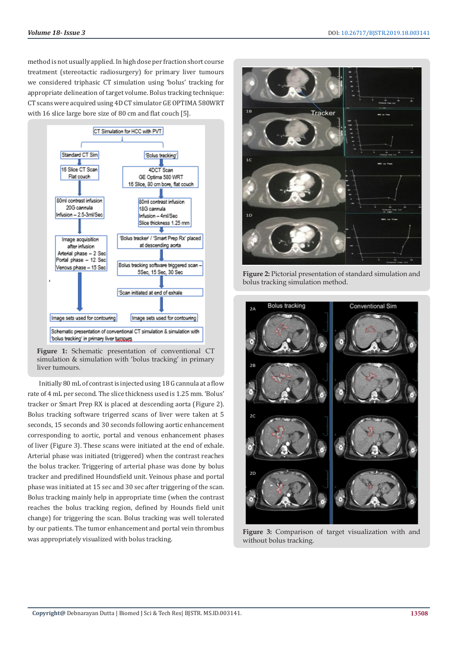method is not usually applied. In high dose per fraction short course treatment (stereotactic radiosurgery) for primary liver tumours we considered triphasic CT simulation using 'bolus' tracking for appropriate delineation of target volume. Bolus tracking technique: CT scans were acquired using 4D CT simulator GE OPTIMA 580WRT with 16 slice large bore size of 80 cm and flat couch [5].



**Figure 1:** Schematic presentation of conventional CT simulation & simulation with 'bolus tracking' in primary liver tumours.

Initially 80 mL of contrast is injected using 18 G cannula at a flow rate of 4 mL per second. The slice thickness used is 1.25 mm. 'Bolus' tracker or Smart Prep RX is placed at descending aorta (Figure 2). Bolus tracking software trigerred scans of liver were taken at 5 seconds, 15 seconds and 30 seconds following aortic enhancement corresponding to aortic, portal and venous enhancement phases of liver (Figure 3). These scans were initiated at the end of exhale. Arterial phase was initiated (triggered) when the contrast reaches the bolus tracker. Triggering of arterial phase was done by bolus tracker and predifined Houndsfield unit. Veinous phase and portal phase was initiated at 15 sec and 30 sec after triggering of the scan. Bolus tracking mainly help in appropriate time (when the contrast reaches the bolus tracking region, defined by Hounds field unit change) for triggering the scan. Bolus tracking was well tolerated by our patients. The tumor enhancement and portal vein thrombus was appropriately visualized with bolus tracking.



**Figure 2:** Pictorial presentation of standard simulation and bolus tracking simulation method.



**Figure 3:** Comparison of target visualization with and without bolus tracking.